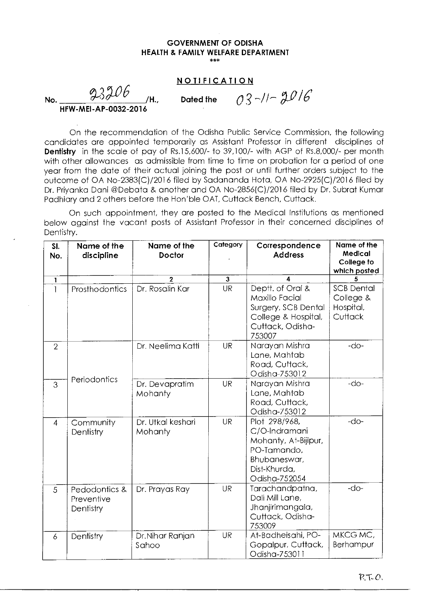#### **GOVERNMENT OF ODISHA HEALTH & FAMILY WELFARE DEPARTMENT**  \*\*\*

# **NOTIFICATION**

No.  $\frac{93}{10}$  /H., Dated the  $0.3$ -//- $2016$ 

# **HFW-MEI-AP-0032-2016**

On the recommendation of the Odisha Public Service Commission, the following candidates are appointed temporarily as Assistant Professor in different disciplines of **Dentistry** in the scale of pay of Rs.15,600/- to 39,100/- with AGP of Rs.8,000/- per month with other allowances as admissible from time to time on probation for a period of one year from the date of their actual joining the post or until further orders subject to the outcome of OA No-2383(C)/2016 filed by Sadananda Hota, OA No-2925(C)/2016 filed by Dr. Priyanka Dani @Debata & another and OA No-2856(C)/2016 filed by Dr. Subrat Kumar Padhiary and 2 others before the Hon'ble OAT, Cuttack Bench, Cuttack.

On such appointment, they are posted to the Medical Institutions as mentioned below against the vacant posts of Assistant Professor in their concerned disciplines of Dentistry.

| SI.<br>No.     | Name of the<br>discipline                | Name of the<br><b>Doctor</b> | Category     | Correspondence<br><b>Address</b>                                                                                       | Name of the<br>Medical<br>College to<br>which posted   |
|----------------|------------------------------------------|------------------------------|--------------|------------------------------------------------------------------------------------------------------------------------|--------------------------------------------------------|
| $\mathbf{1}$   |                                          | $\mathbf{2}$                 | $\mathbf{3}$ | 4                                                                                                                      |                                                        |
| Ĩ              | Prosthodontics                           | Dr. Rosalin Kar              | <b>UR</b>    | Deptt. of Oral &<br>Maxillo Facial<br>Surgery, SCB Dental<br>College & Hospital,<br>Cuttack, Odisha-<br>753007         | <b>SCB Dental</b><br>College &<br>Hospital,<br>Cuttack |
| $\overline{2}$ |                                          | Dr. Neelima Katti            | <b>UR</b>    | Narayan Mishra<br>Lane, Mahtab<br>Road, Cuttack,<br>Odisha-753012                                                      | $-do-$                                                 |
| 3              | Periodontics                             | Dr. Devapratim<br>Mohanty    | <b>UR</b>    | Narayan Mishra<br>Lane, Mahtab<br>Road, Cuttack,<br>Odisha-753012                                                      | $-do-$                                                 |
| $\overline{4}$ | Community<br>Dentistry                   | Dr. Utkal keshari<br>Mohanty | <b>UR</b>    | Plot 298/968,<br>C/O-Indramani<br>Mohanty, At-Bijipur,<br>PO-Tamando,<br>Bhubaneswar,<br>Dist-Khurda,<br>Odisha-752054 | $-d$ o-                                                |
| 5              | Pedodontics &<br>Preventive<br>Dentistry | Dr. Prayas Ray               | <b>UR</b>    | Tarachandpatna,<br>Dali Mill Lane,<br>Jhanjirimangala,<br>Cuttack, Odisha-<br>753009                                   | $-do-$                                                 |
| 6              | Dentistry                                | Dr.Nihar Ranjan<br>Sahoo     | <b>UR</b>    | At-Badheisahi, PO-<br>Gopalpur, Cuttack,<br>Odisha-753011                                                              | MKCG MC,<br>Berhampur                                  |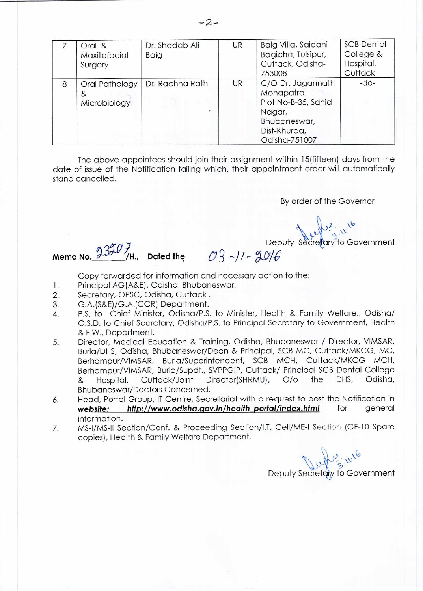|   | Oral &<br>Maxillofacial<br>Surgery  | Dr. Shadab Ali<br>Baig | UR | Baig Villa, Saidani<br>Bagicha, Tulsipur,<br>Cuttack, Odisha-<br>753008                                          | <b>SCB Dental</b><br>College &<br>Hospital,<br>Cuttack |
|---|-------------------------------------|------------------------|----|------------------------------------------------------------------------------------------------------------------|--------------------------------------------------------|
| 8 | Oral Pathology<br>&<br>Microbiology | Dr. Rachna Rath        | UR | C/O-Dr. Jagannath<br>Mohapatra<br>Plot No-B-35, Sahid<br>Nagar,<br>Bhubaneswar,<br>Dist-Khurda,<br>Odisha-751007 | $-do-$                                                 |

The above appointees should join their assignment within 15(fifteen) days from the date of issue of the Notification failing which, their appointment order will automatically stand cancelled.

By order of the Governor

 $\sqrt{6}$ 

Deputy Secretary to Government

Dep<br>**Memo No.**  $2307$ , Dated the  $03$ -11- $30/6$ 

Copy forwarded for information and necessary action to the:

- 1. Principal AG (A&E), Odisha, Bhubaneswar.
- 2. Secretary, OPSC, Odisha, Cuttack .
- 3. G.A.(S&E)/G.A.(CCR) Department.
- 4. P.S. to Chief Minister, Odisha/P.S. to Minister, Health & Family Welfare., Odisha/ O.S.D. to Chief Secretary, Odisha/P.S. to Principal Secretary to Government, Health & F.W., Department.
- 5. Director, Medical Education & Training, Odisha, Bhubaneswar / Director, VIMSAR, Burla/DHS, Odisha, Bhubaneswar/Dean & Principal, SCB MC, Cuttack/MKCG, MC, Berhampur/VIMSAR, Burla/Superintendent, SCB MCH, Cuttack/MKCG MCH, Berhampur/VIMSAR, Burla/Supdt., SVPPGIP, Cuttack/ Principal SCB Dental College & Hospital, Cuttack/Joint Director(SHRMU), 0/0 the DHS, Odisha, Bhubaneswar/Doctors Concerned.
- 6. Head, Portal Group, IT Centre, Secretariat with a request to post the Notification in<br> **website:** http://www.odisha.gov.in/health portal/index.html for general website: http://www.odisha.gov.in/health\_portal/index.html information.
- 7. MS-I/MS-11 Section/Conf. & Proceeding Section/I.T. Cell/ME-I Section (GF-10 Spare copies), Health & Family Welfare Department.

 $9.11^{6}$ Deputy Secretaly to Government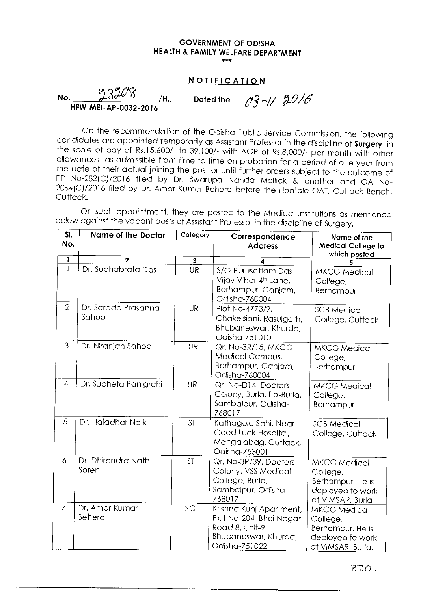#### **GOVERNMENT OF ODISHA HEALTH & FAMILY WELFARE DEPARTMENT**   $***$

### **NOTIFICATION**

**No.**  $\frac{136400}{456000000000}$  /H., Dated the  $\frac{93}{4}$  -1/  $\frac{30}{6}$ **HFW-MEI-AP-0032-2016** 

On the recommendation of the Odisha Public Service Commission, the following candidates are appointed temporarily as Assistant Professor in the discipline of **Surgery** in the scale of pay of Rs.15,600/- to 39,100/- with AGP of Rs.8,000/- per month with other allowances as admissible from time to time on probation for a period of one year from the date of their actual joining the post or until further orders subject to the outcome of PP No-282(C)/2016 filed by Dr. Swarupa Nanda Mallick & another and OA No-2064(C)/2016 filed by Dr. Amar Kumar Behera before the Hon' ble OAT, Cuttack Bench, Cuttack.

On such appointment, they are posted to the Medical Institutions as mentioned below against the vacant posts of Assistant Professor in the discipline of Surgery.

| SI.            | Name of the Doctor    | Category                | Correspondence                    | Name of the                          |
|----------------|-----------------------|-------------------------|-----------------------------------|--------------------------------------|
| No.            |                       |                         | <b>Address</b>                    | <b>Medical College to</b>            |
| 1              | $\overline{2}$        | $\overline{\mathbf{3}}$ | 4                                 | which posfed                         |
| $\mathbf{1}$   | Dr. Subhabrata Das    | UR                      | S/O-Purusottam Das                |                                      |
|                |                       |                         | Vijay Vihar 4 <sup>th</sup> Lane, | <b>MKCG Medical</b>                  |
|                |                       |                         | Berhampur, Ganjam,                | College,                             |
|                |                       |                         | Odisha-760004                     | Berhampur                            |
| $\overline{2}$ | Dr. Sarada Prasanna   | <b>UR</b>               | Plot No-4773/9,                   | <b>SCB Medical</b>                   |
|                | Sahoo                 |                         | Chakeisiani, Rasulgarh,           | College, Cuttack                     |
|                |                       |                         | Bhubaneswar, Khurda,              |                                      |
|                |                       |                         | Odisha-751010                     |                                      |
| 3              | Dr. Niranjan Sahoo    | <b>UR</b>               | Qr. No-3R/15, MKCG                | <b>MKCG Medical</b>                  |
|                |                       |                         | Medical Campus,                   | College,                             |
|                |                       |                         | Berhampur, Ganjam,                | Berhampur                            |
|                |                       |                         | Odisha-760004                     |                                      |
| 4              | Dr. Sucheta Panigrahi | UR                      | Qr. No-D14, Doctors               | <b>MKCG Medical</b>                  |
|                |                       |                         | Colony, Burla, Po-Burla,          | College,                             |
|                |                       |                         | Sambalpur, Odisha-                | Berhampur                            |
|                |                       |                         | 768017                            |                                      |
| 5              | Dr. Haladhar Naik     | <b>ST</b>               | Kathagola Sahi, Near              | <b>SCB Medical</b>                   |
|                |                       |                         | Good Luck Hospital,               | College, Cuttack                     |
|                |                       |                         | Mangalabag, Cuttack,              |                                      |
|                | Dr. Dhirendra Nath    |                         | Odisha-753001                     |                                      |
| 6              | Soren                 | <b>ST</b>               | Qr. No-3R/39, Doctors             | <b>MKCG Medical</b>                  |
|                |                       |                         | Colony, VSS Medical               | College,                             |
|                |                       |                         | College, Burla,                   | Berhampur. He is                     |
|                |                       |                         | Sambalpur, Odisha-<br>768017      | deployed to work                     |
| $\overline{7}$ | Dr. Amar Kumar        | SC                      | Krishna Kunj Apartment,           | at VIMSAR, Burla                     |
|                | Behera                |                         | Flat No-204, Bhoi Nagar           | <b>MKCG Medical</b>                  |
|                |                       |                         | Road-8, Unit-9,                   | College,                             |
|                |                       |                         | Bhubaneswar, Khurda,              | Berhampur. He is<br>deployed to work |
|                |                       |                         | Odisha-751022                     | at VIMSAR, Burla.                    |
|                |                       |                         |                                   |                                      |